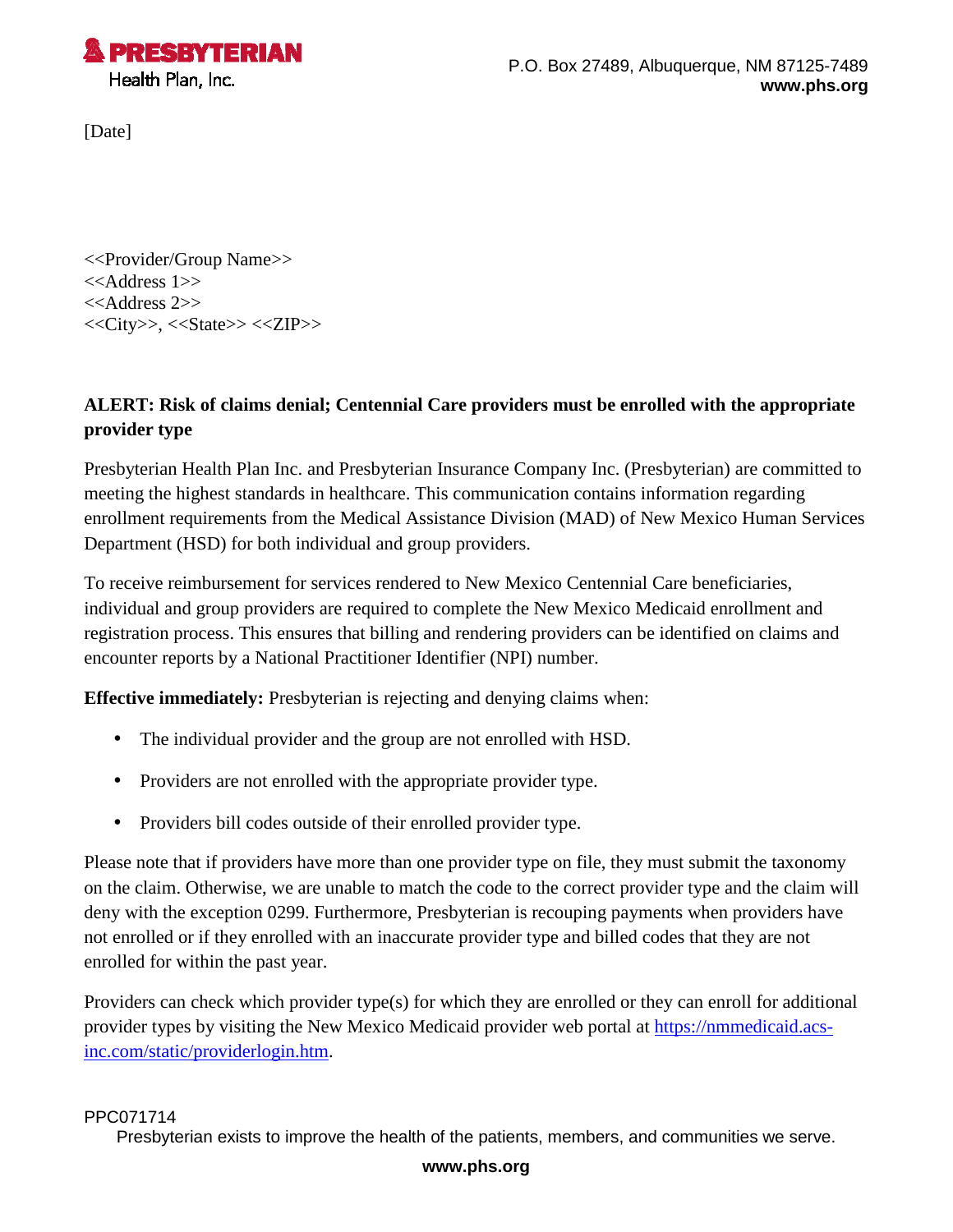

[Date]

<<Provider/Group Name>> <<Address 1>> <<Address 2>> <<City>>, <<State>> <<ZIP>>

## **ALERT: Risk of claims denial; Centennial Care providers must be enrolled with the appropriate provider type**

Presbyterian Health Plan Inc. and Presbyterian Insurance Company Inc. (Presbyterian) are committed to meeting the highest standards in healthcare. This communication contains information regarding enrollment requirements from the Medical Assistance Division (MAD) of New Mexico Human Services Department (HSD) for both individual and group providers.

To receive reimbursement for services rendered to New Mexico Centennial Care beneficiaries, individual and group providers are required to complete the New Mexico Medicaid enrollment and registration process. This ensures that billing and rendering providers can be identified on claims and encounter reports by a National Practitioner Identifier (NPI) number.

**Effective immediately:** Presbyterian is rejecting and denying claims when:

- The individual provider and the group are not enrolled with HSD.
- Providers are not enrolled with the appropriate provider type.
- Providers bill codes outside of their enrolled provider type.

Please note that if providers have more than one provider type on file, they must submit the taxonomy on the claim. Otherwise, we are unable to match the code to the correct provider type and the claim will deny with the exception 0299. Furthermore, Presbyterian is recouping payments when providers have not enrolled or if they enrolled with an inaccurate provider type and billed codes that they are not enrolled for within the past year.

Providers can check which provider type(s) for which they are enrolled or they can enroll for additional provider types by visiting the New Mexico Medicaid provider web portal at [https://nmmedicaid.acs](https://nmmedicaid.acs-inc.com/static/providerlogin.htm)[inc.com/static/providerlogin.htm](https://nmmedicaid.acs-inc.com/static/providerlogin.htm).

## PPC071714

Presbyterian exists to improve the health of the patients, members, and communities we serve.

## **www.phs.org**